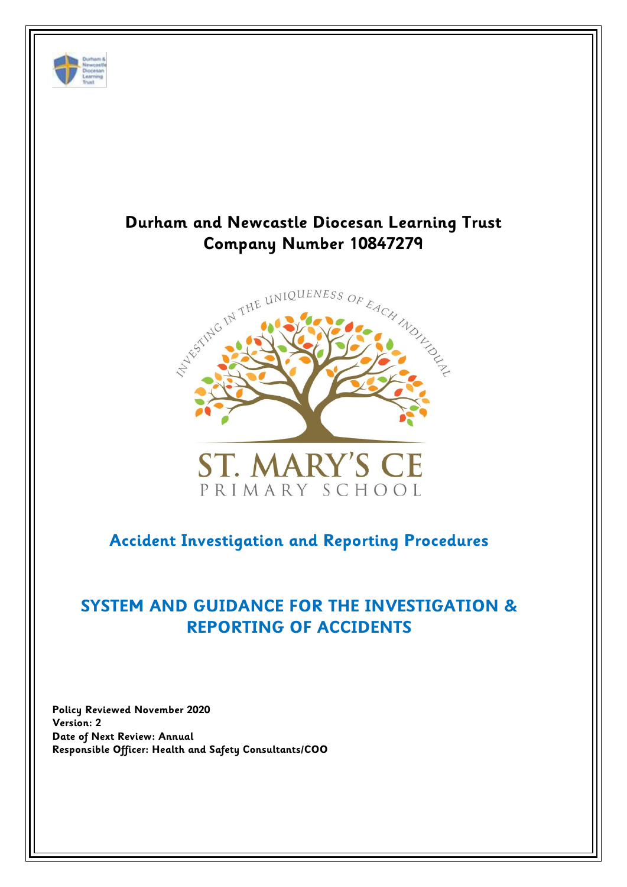

# **Durham and Newcastle Diocesan Learning Trust**





## **Accident Investigation and Reporting Procedures**

# **SYSTEM AND GUIDANCE FOR THE INVESTIGATION & REPORTING OF ACCIDENTS**

**Policy Reviewed November 2020 Version: 2 Date of Next Review: Annual Responsible Officer: Health and Safety Consultants/COO**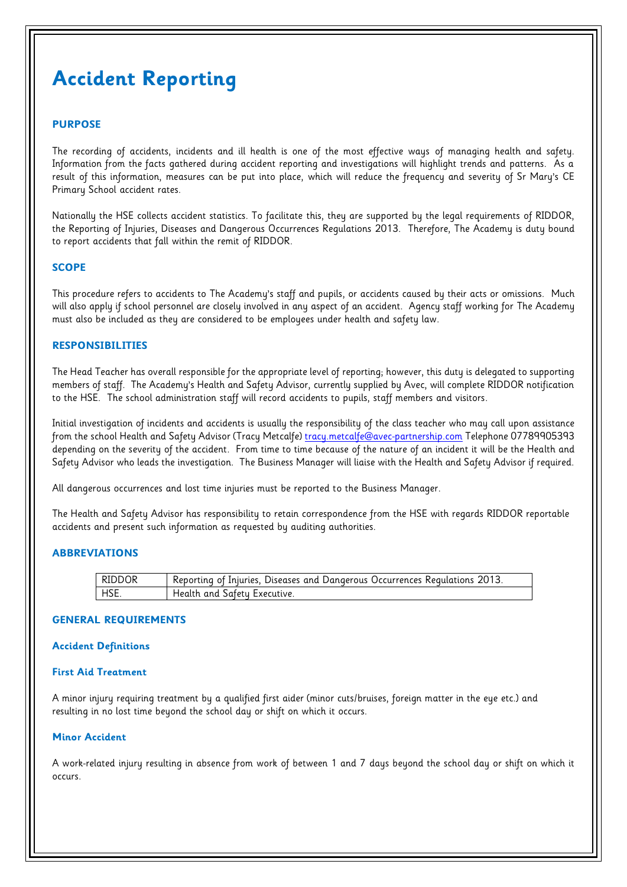# **Accident Reporting**

#### **PURPOSE**

The recording of accidents, incidents and ill health is one of the most effective ways of managing health and safety. Information from the facts gathered during accident reporting and investigations will highlight trends and patterns. As a result of this information, measures can be put into place, which will reduce the frequency and severity of Sr Mary's CE Primary School accident rates.

Nationally the HSE collects accident statistics. To facilitate this, they are supported by the legal requirements of RIDDOR, the Reporting of Injuries, Diseases and Dangerous Occurrences Regulations 2013. Therefore, The Academy is duty bound to report accidents that fall within the remit of RIDDOR.

#### **SCOPE**

This procedure refers to accidents to The Academy's staff and pupils, or accidents caused by their acts or omissions. Much will also apply if school personnel are closely involved in any aspect of an accident. Agency staff working for The Academy must also be included as they are considered to be employees under health and safety law.

#### **RESPONSIBILITIES**

The Head Teacher has overall responsible for the appropriate level of reporting; however, this duty is delegated to supporting members of staff. The Academy's Health and Safety Advisor, currently supplied by Avec, will complete RIDDOR notification to the HSE. The school administration staff will record accidents to pupils, staff members and visitors.

Initial investigation of incidents and accidents is usually the responsibility of the class teacher who may call upon assistance from the school Health and Safety Advisor (Tracy Metcalfe) [tracy.metcalfe@avec-partnership.com](mailto:tracy.metcalfe@avec-partnership.com) Telephone 07789905393 depending on the severity of the accident. From time to time because of the nature of an incident it will be the Health and Safety Advisor who leads the investigation. The Business Manager will liaise with the Health and Safety Advisor if required.

All dangerous occurrences and lost time injuries must be reported to the Business Manager.

The Health and Safety Advisor has responsibility to retain correspondence from the HSE with regards RIDDOR reportable accidents and present such information as requested by auditing authorities.

#### **ABBREVIATIONS**

| RIDDOR     | <sup>1</sup> Reporting of Injuries, Diseases and Dangerous Occurrences Regulations 2013. |
|------------|------------------------------------------------------------------------------------------|
| <b>HSE</b> | Health and Safety Executive.                                                             |

#### **GENERAL REQUIREMENTS**

#### **Accident Definitions**

#### **First Aid Treatment**

A minor injury requiring treatment by a qualified first aider (minor cuts/bruises, foreign matter in the eye etc.) and resulting in no lost time beyond the school day or shift on which it occurs.

#### **Minor Accident**

A work-related injury resulting in absence from work of between 1 and 7 days beyond the school day or shift on which it occurs.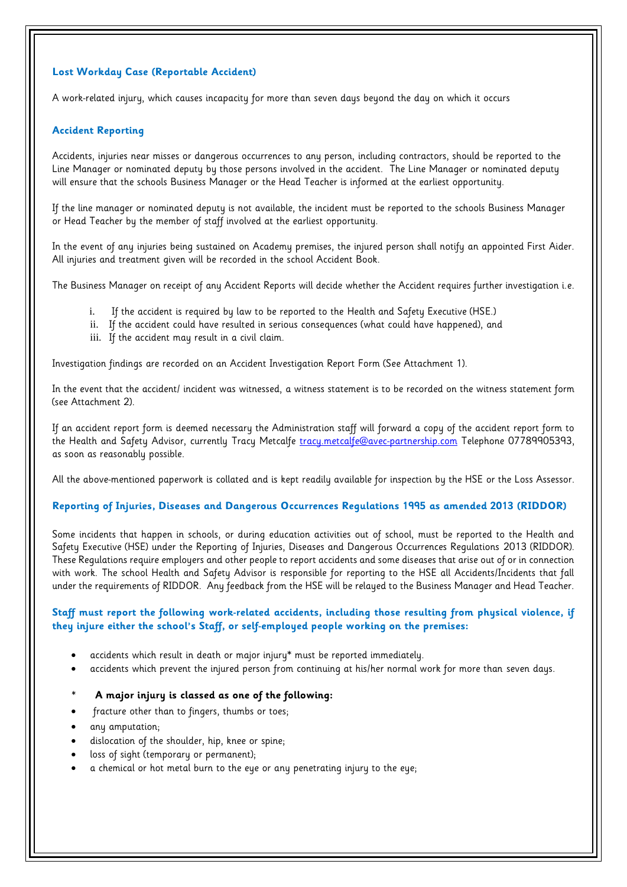#### **Lost Workday Case (Reportable Accident)**

A work-related injury, which causes incapacity for more than seven days beyond the day on which it occurs

#### **Accident Reporting**

Accidents, injuries near misses or dangerous occurrences to any person, including contractors, should be reported to the Line Manager or nominated deputy by those persons involved in the accident. The Line Manager or nominated deputy will ensure that the schools Business Manager or the Head Teacher is informed at the earliest opportunity.

If the line manager or nominated deputy is not available, the incident must be reported to the schools Business Manager or Head Teacher by the member of staff involved at the earliest opportunity.

In the event of any injuries being sustained on Academy premises, the injured person shall notify an appointed First Aider. All injuries and treatment given will be recorded in the school Accident Book.

The Business Manager on receipt of any Accident Reports will decide whether the Accident requires further investigation i.e.

- i. If the accident is required by law to be reported to the Health and Safety Executive (HSE.)
- ii. If the accident could have resulted in serious consequences (what could have happened), and
- iii. If the accident may result in a civil claim.

Investigation findings are recorded on an Accident Investigation Report Form (See Attachment 1).

In the event that the accident/ incident was witnessed, a witness statement is to be recorded on the witness statement form (see Attachment 2).

If an accident report form is deemed necessary the Administration staff will forward a copy of the accident report form to the Health and Safety Advisor, currently Tracy Metcalfe [tracy.metcalfe@avec-partnership.com](mailto:tracy.metcalfe@avec-partnership.com) Telephone 07789905393, as soon as reasonably possible.

All the above-mentioned paperwork is collated and is kept readily available for inspection by the HSE or the Loss Assessor.

#### **Reporting of Injuries, Diseases and Dangerous Occurrences Regulations 1995 as amended 2013 (RIDDOR)**

Some incidents that happen in schools, or during education activities out of school, must be reported to the Health and Safety Executive (HSE) under the Reporting of Injuries, Diseases and Dangerous Occurrences Regulations 2013 (RIDDOR). These Regulations require employers and other people to report accidents and some diseases that arise out of or in connection with work. The school Health and Safety Advisor is responsible for reporting to the HSE all Accidents/Incidents that fall under the requirements of RIDDOR. Any feedback from the HSE will be relayed to the Business Manager and Head Teacher.

#### **Staff must report the following work-related accidents, including those resulting from physical violence, if they injure either the school's Staff, or self-employed people working on the premises:**

- accidents which result in death or major injury\* must be reported immediately.
- accidents which prevent the injured person from continuing at his/her normal work for more than seven days.
- **\* A major injury is classed as one of the following:**
- fracture other than to fingers, thumbs or toes;
- any amputation;
- dislocation of the shoulder, hip, knee or spine;
- loss of sight (temporary or permanent);
- a chemical or hot metal burn to the eye or any penetrating injury to the eye;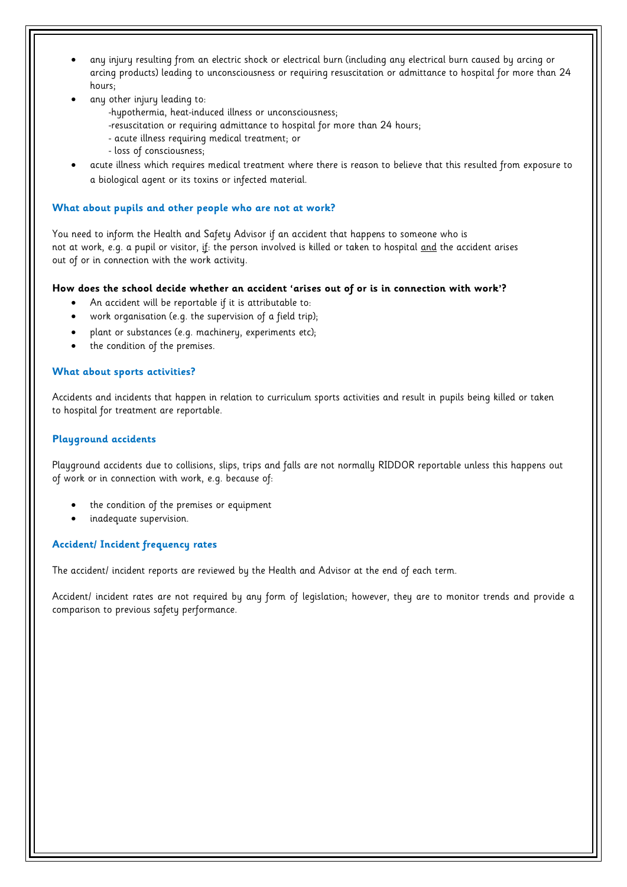- any injury resulting from an electric shock or electrical burn (including any electrical burn caused by arcing or arcing products) leading to unconsciousness or requiring resuscitation or admittance to hospital for more than 24 hours;
- any other injury leading to:
	- -hypothermia, heat-induced illness or unconsciousness;
	- -resuscitation or requiring admittance to hospital for more than 24 hours;
	- acute illness requiring medical treatment; or
	- loss of consciousness;
- acute illness which requires medical treatment where there is reason to believe that this resulted from exposure to a biological agent or its toxins or infected material.

#### **What about pupils and other people who are not at work?**

You need to inform the Health and Safety Advisor if an accident that happens to someone who is not at work, e.g. a pupil or visitor, if: the person involved is killed or taken to hospital and the accident arises out of or in connection with the work activity.

#### **How does the school decide whether an accident 'arises out of or is in connection with work'?**

- An accident will be reportable if it is attributable to:
- work organisation (e.g. the supervision of a field trip);
- plant or substances (e.g. machinery, experiments etc);
- the condition of the premises.

#### **What about sports activities?**

Accidents and incidents that happen in relation to curriculum sports activities and result in pupils being killed or taken to hospital for treatment are reportable.

#### **Playground accidents**

Playground accidents due to collisions, slips, trips and falls are not normally RIDDOR reportable unless this happens out of work or in connection with work, e.g. because of:

- the condition of the premises or equipment
- inadequate supervision.

#### **Accident/ Incident frequency rates**

The accident/ incident reports are reviewed by the Health and Advisor at the end of each term.

Accident/ incident rates are not required by any form of legislation; however, they are to monitor trends and provide a comparison to previous safety performance.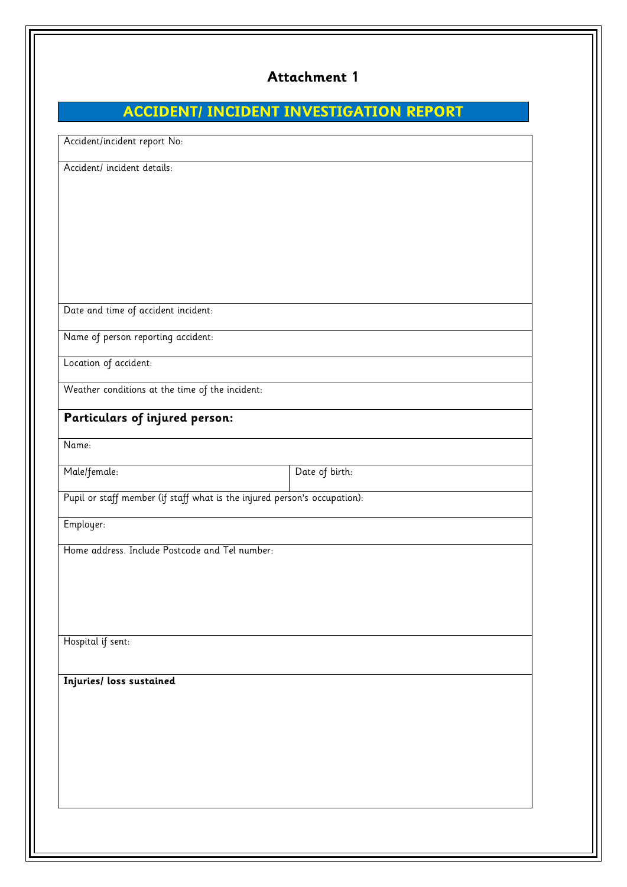### **Attachment 1**

# **ACCIDENT/ INCIDENT INVESTIGATION REPORT**

| Date of birth: |                                                                           |  |  |  |  |
|----------------|---------------------------------------------------------------------------|--|--|--|--|
|                | Pupil or staff member (if staff what is the injured person's occupation): |  |  |  |  |
|                |                                                                           |  |  |  |  |
|                |                                                                           |  |  |  |  |
|                |                                                                           |  |  |  |  |
|                |                                                                           |  |  |  |  |
|                |                                                                           |  |  |  |  |
|                |                                                                           |  |  |  |  |
|                |                                                                           |  |  |  |  |
|                |                                                                           |  |  |  |  |
|                |                                                                           |  |  |  |  |
|                |                                                                           |  |  |  |  |
|                |                                                                           |  |  |  |  |
|                |                                                                           |  |  |  |  |
|                |                                                                           |  |  |  |  |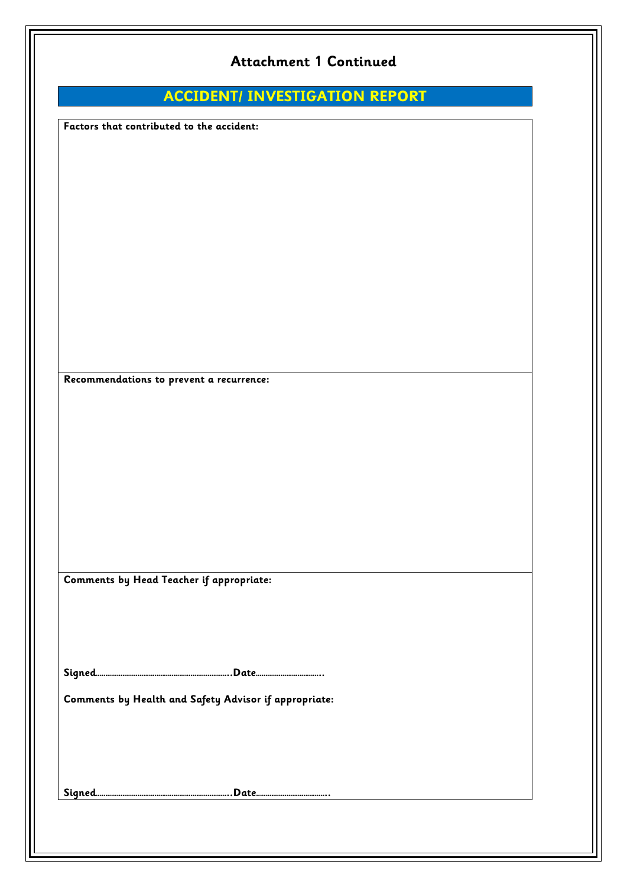|                                           | <b>Attachment 1 Continued</b>                         |  |
|-------------------------------------------|-------------------------------------------------------|--|
|                                           | <b>ACCIDENT/ INVESTIGATION REPORT</b>                 |  |
| Factors that contributed to the accident: |                                                       |  |
|                                           |                                                       |  |
|                                           |                                                       |  |
|                                           |                                                       |  |
|                                           |                                                       |  |
|                                           |                                                       |  |
|                                           |                                                       |  |
|                                           |                                                       |  |
|                                           |                                                       |  |
|                                           |                                                       |  |
| Recommendations to prevent a recurrence:  |                                                       |  |
|                                           |                                                       |  |
|                                           |                                                       |  |
|                                           |                                                       |  |
|                                           |                                                       |  |
|                                           |                                                       |  |
|                                           |                                                       |  |
|                                           |                                                       |  |
| Comments by Head Teacher if appropriate:  |                                                       |  |
|                                           |                                                       |  |
|                                           |                                                       |  |
|                                           |                                                       |  |
|                                           | Comments by Health and Safety Advisor if appropriate: |  |
|                                           |                                                       |  |
|                                           |                                                       |  |
|                                           |                                                       |  |
|                                           |                                                       |  |